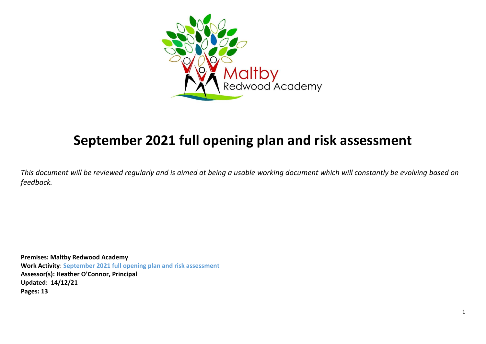

# **September 2021 full opening plan and risk assessment**

*This document will be reviewed regularly and is aimed at being a usable working document which will constantly be evolving based on feedback.*

**Premises: Maltby Redwood Academy Work Activity**: **September 2021 full opening plan and risk assessment Assessor(s): Heather O'Connor, Principal Updated: 14/12/21 Pages: 13**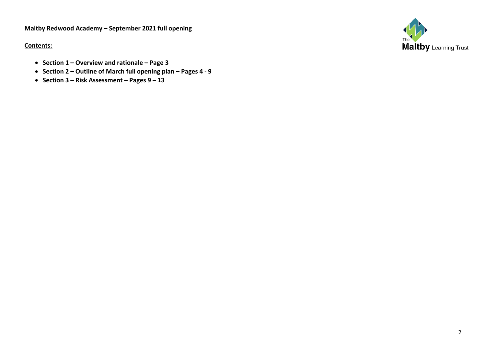## **Maltby Redwood Academy – September 2021 full opening**

**Contents:**

Maltby Learning Trust

- **Section 1 – Overview and rationale – Page 3**
- **Section 2 – Outline of March full opening plan – Pages 4 - 9**
- **Section 3 – Risk Assessment – Pages 9 – 13**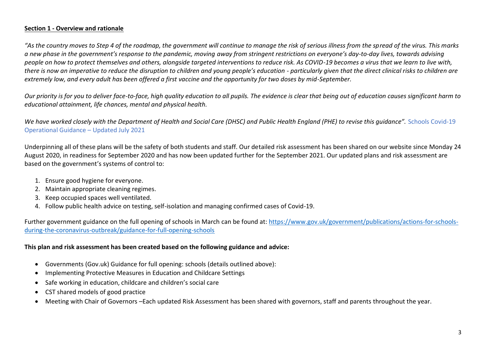## **Section 1 - Overview and rationale**

*"As the country moves to Step 4 of the roadmap, the government will continue to manage the risk of serious illness from the spread of the virus. This marks a new phase in the government's response to the pandemic, moving away from stringent restrictions on everyone's day-to-day lives, towards advising people on how to protect themselves and others, alongside targeted interventions to reduce risk. As COVID-19 becomes a virus that we learn to live with,*  there is now an imperative to reduce the disruption to children and young people's education - particularly given that the direct clinical risks to children are *extremely low, and every adult has been offered a first vaccine and the opportunity for two doses by mid-September.*

*Our priority is for you to deliver face-to-face, high quality education to all pupils. The evidence is clear that being out of education causes significant harm to educational attainment, life chances, mental and physical health.* 

*We have worked closely with the Department of Health and Social Care (DHSC) and Public Health England (PHE) to revise this guidance".* Schools Covid-19 Operational Guidance – Updated July 2021

Underpinning all of these plans will be the safety of both students and staff. Our detailed risk assessment has been shared on our website since Monday 24 August 2020, in readiness for September 2020 and has now been updated further for the September 2021. Our updated plans and risk assessment are based on the government's systems of control to:

- 1. Ensure good hygiene for everyone.
- 2. Maintain appropriate cleaning regimes.
- 3. Keep occupied spaces well ventilated.
- 4. Follow public health advice on testing, self-isolation and managing confirmed cases of Covid-19.

Further government guidance on the full opening of schools in March can be found at: [https://www.gov.uk/government/publications/actions-for-schools](https://www.gov.uk/government/publications/actions-for-schools-during-the-coronavirus-outbreak/guidance-for-full-opening-schools)[during-the-coronavirus-outbreak/guidance-for-full-opening-schools](https://www.gov.uk/government/publications/actions-for-schools-during-the-coronavirus-outbreak/guidance-for-full-opening-schools)

## **This plan and risk assessment has been created based on the following guidance and advice:**

- Governments (Gov.uk) Guidance for full opening: schools (details outlined above):
- Implementing Protective Measures in Education and Childcare Settings
- Safe working in education, childcare and children's social care
- CST shared models of good practice
- Meeting with Chair of Governors –Each updated Risk Assessment has been shared with governors, staff and parents throughout the year.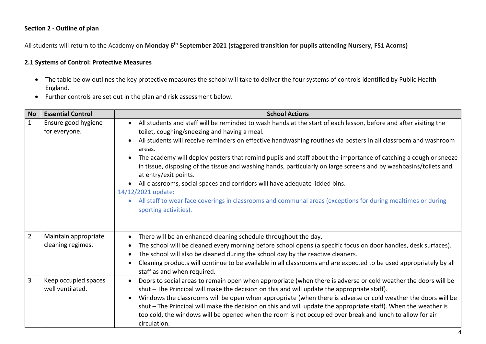#### **Section 2 - Outline of plan**

All students will return to the Academy on **Monday 6th September 2021 (staggered transition for pupils attending Nursery, FS1 Acorns)**

## **2.1 Systems of Control: Protective Measures**

- The table below outlines the key protective measures the school will take to deliver the four systems of controls identified by Public Health England.
- Further controls are set out in the plan and risk assessment below.

| <b>No</b>      | <b>Essential Control</b>                  | <b>School Actions</b>                                                                                                                                                                                                                                                                                                                                                                                                                                                                                                                                                                                                                                                                                                                                                                                        |
|----------------|-------------------------------------------|--------------------------------------------------------------------------------------------------------------------------------------------------------------------------------------------------------------------------------------------------------------------------------------------------------------------------------------------------------------------------------------------------------------------------------------------------------------------------------------------------------------------------------------------------------------------------------------------------------------------------------------------------------------------------------------------------------------------------------------------------------------------------------------------------------------|
| $\mathbf{1}$   | Ensure good hygiene<br>for everyone.      | All students and staff will be reminded to wash hands at the start of each lesson, before and after visiting the<br>toilet, coughing/sneezing and having a meal.<br>All students will receive reminders on effective handwashing routines via posters in all classroom and washroom<br>areas.<br>The academy will deploy posters that remind pupils and staff about the importance of catching a cough or sneeze<br>in tissue, disposing of the tissue and washing hands, particularly on large screens and by washbasins/toilets and<br>at entry/exit points.<br>All classrooms, social spaces and corridors will have adequate lidded bins.<br>14/12/2021 update:<br>All staff to wear face coverings in classrooms and communal areas (exceptions for during mealtimes or during<br>sporting activities). |
| $\overline{2}$ | Maintain appropriate<br>cleaning regimes. | There will be an enhanced cleaning schedule throughout the day.<br>The school will be cleaned every morning before school opens (a specific focus on door handles, desk surfaces).<br>The school will also be cleaned during the school day by the reactive cleaners.<br>Cleaning products will continue to be available in all classrooms and are expected to be used appropriately by all<br>staff as and when required.                                                                                                                                                                                                                                                                                                                                                                                   |
| 3              | Keep occupied spaces<br>well ventilated.  | Doors to social areas to remain open when appropriate (when there is adverse or cold weather the doors will be<br>shut - The Principal will make the decision on this and will update the appropriate staff).<br>Windows the classrooms will be open when appropriate (when there is adverse or cold weather the doors will be<br>shut - The Principal will make the decision on this and will update the appropriate staff). When the weather is<br>too cold, the windows will be opened when the room is not occupied over break and lunch to allow for air<br>circulation.                                                                                                                                                                                                                                |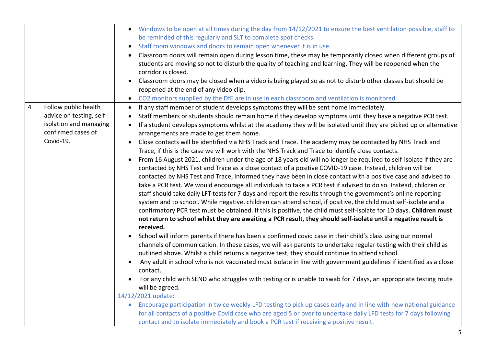|                |                                                                                                               | Windows to be open at all times during the day from 14/12/2021 to ensure the best ventilation possible, staff to<br>be reminded of this regularly and SLT to complete spot checks.<br>Staff room windows and doors to remain open whenever it is in use.<br>Classroom doors will remain open during lesson time, these may be temporarily closed when different groups of<br>students are moving so not to disturb the quality of teaching and learning. They will be reopened when the<br>corridor is closed.<br>Classroom doors may be closed when a video is being played so as not to disturb other classes but should be<br>reopened at the end of any video clip.<br>• CO2 monitors supplied by the DfE are in use in each classroom and ventilation is monitored                                                                                                                                                                                                                                                                                                                                                                                                                                                                                                                                                                                                                                                                                                                                                                                                           |
|----------------|---------------------------------------------------------------------------------------------------------------|-----------------------------------------------------------------------------------------------------------------------------------------------------------------------------------------------------------------------------------------------------------------------------------------------------------------------------------------------------------------------------------------------------------------------------------------------------------------------------------------------------------------------------------------------------------------------------------------------------------------------------------------------------------------------------------------------------------------------------------------------------------------------------------------------------------------------------------------------------------------------------------------------------------------------------------------------------------------------------------------------------------------------------------------------------------------------------------------------------------------------------------------------------------------------------------------------------------------------------------------------------------------------------------------------------------------------------------------------------------------------------------------------------------------------------------------------------------------------------------------------------------------------------------------------------------------------------------|
| $\overline{4}$ | Follow public health<br>advice on testing, self-<br>isolation and managing<br>confirmed cases of<br>Covid-19. | If any staff member of student develops symptoms they will be sent home immediately.<br>$\bullet$<br>Staff members or students should remain home if they develop symptoms until they have a negative PCR test.<br>If a student develops symptoms whilst at the academy they will be isolated until they are picked up or alternative<br>arrangements are made to get them home.<br>Close contacts will be identified via NHS Track and Trace. The academy may be contacted by NHS Track and<br>Trace, if this is the case we will work with the NHS Track and Trace to identify close contacts.<br>From 16 August 2021, children under the age of 18 years old will no longer be required to self-isolate if they are<br>$\bullet$<br>contacted by NHS Test and Trace as a close contact of a positive COVID-19 case. Instead, children will be<br>contacted by NHS Test and Trace, informed they have been in close contact with a positive case and advised to<br>take a PCR test. We would encourage all individuals to take a PCR test if advised to do so. Instead, children or<br>staff should take daily LFT tests for 7 days and report the results through the government's online reporting<br>system and to school. While negative, children can attend school, if positive, the child must self-isolate and a<br>confirmatory PCR test must be obtained. If this is positive, the child must self-isolate for 10 days. Children must<br>not return to school whilst they are awaiting a PCR result, they should self-isolate until a negative result is<br>received. |
|                |                                                                                                               | School will inform parents if there has been a confirmed covid case in their child's class using our normal<br>channels of communication. In these cases, we will ask parents to undertake regular testing with their child as<br>outlined above. Whilst a child returns a negative test, they should continue to attend school.<br>Any adult in school who is not vaccinated must isolate in line with government guidelines if identified as a close<br>contact.<br>For any child with SEND who struggles with testing or is unable to swab for 7 days, an appropriate testing route<br>will be agreed.<br>14/12/2021 update:<br>Encourage participation in twice weekly LFD testing to pick up cases early and in line with new national guidance<br>$\bullet$<br>for all contacts of a positive Covid case who are aged 5 or over to undertake daily LFD tests for 7 days following<br>contact and to isolate immediately and book a PCR test if receiving a positive result.                                                                                                                                                                                                                                                                                                                                                                                                                                                                                                                                                                                                 |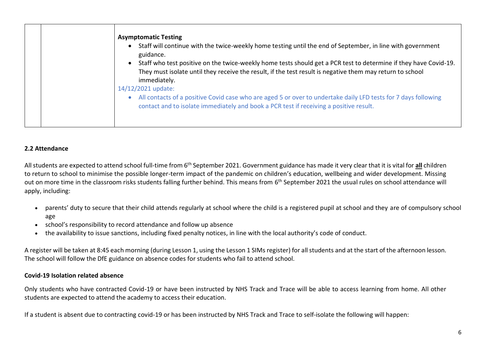| <b>Asymptomatic Testing</b><br>Staff will continue with the twice-weekly home testing until the end of September, in line with government<br>guidance.<br>Staff who test positive on the twice-weekly home tests should get a PCR test to determine if they have Covid-19.<br>They must isolate until they receive the result, if the test result is negative them may return to school<br>immediately.<br>14/12/2021 update: |
|-------------------------------------------------------------------------------------------------------------------------------------------------------------------------------------------------------------------------------------------------------------------------------------------------------------------------------------------------------------------------------------------------------------------------------|
| All contacts of a positive Covid case who are aged 5 or over to undertake daily LFD tests for 7 days following<br>contact and to isolate immediately and book a PCR test if receiving a positive result.                                                                                                                                                                                                                      |

## **2.2 Attendance**

All students are expected to attend school full-time from 6<sup>th</sup> September 2021. Government guidance has made it very clear that it is vital for all children to return to school to minimise the possible longer-term impact of the pandemic on children's education, wellbeing and wider development. Missing out on more time in the classroom risks students falling further behind. This means from 6<sup>th</sup> September 2021 the usual rules on school attendance will apply, including:

- parents' duty to secure that their child attends regularly at school where the child is a registered pupil at school and they are of compulsory school age
- school's responsibility to record attendance and follow up absence
- the availability to issue sanctions, including fixed penalty notices, in line with the local authority's code of conduct.

A register will be taken at 8:45 each morning (during Lesson 1, using the Lesson 1 SIMs register) for all students and at the start of the afternoon lesson. The school will follow the DfE guidance on absence codes for students who fail to attend school.

#### **Covid-19 Isolation related absence**

Only students who have contracted Covid-19 or have been instructed by NHS Track and Trace will be able to access learning from home. All other students are expected to attend the academy to access their education.

If a student is absent due to contracting covid-19 or has been instructed by NHS Track and Trace to self-isolate the following will happen: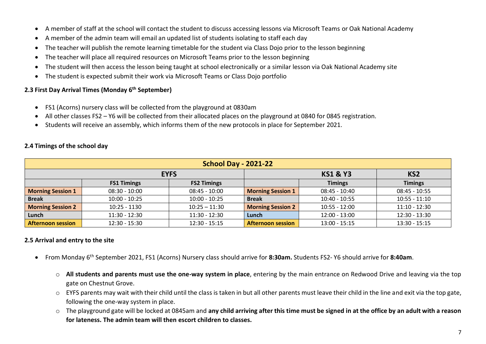- A member of staff at the school will contact the student to discuss accessing lessons via Microsoft Teams or Oak National Academy
- A member of the admin team will email an updated list of students isolating to staff each day
- The teacher will publish the remote learning timetable for the student via Class Dojo prior to the lesson beginning
- The teacher will place all required resources on Microsoft Teams prior to the lesson beginning
- The student will then access the lesson being taught at school electronically or a similar lesson via Oak National Academy site
- The student is expected submit their work via Microsoft Teams or Class Dojo portfolio

# **2.3 First Day Arrival Times (Monday 6th September)**

- FS1 (Acorns) nursery class will be collected from the playground at 0830am
- All other classes FS2 Y6 will be collected from their allocated places on the playground at 0840 for 0845 registration.
- Students will receive an assembly, which informs them of the new protocols in place for September 2021.

| <b>School Day - 2021-22</b> |                                                       |                    |                          |                 |                 |  |  |  |
|-----------------------------|-------------------------------------------------------|--------------------|--------------------------|-----------------|-----------------|--|--|--|
|                             | <b>KS1 &amp; Y3</b><br><b>EYFS</b><br>KS <sub>2</sub> |                    |                          |                 |                 |  |  |  |
|                             | <b>FS1 Timings</b>                                    | <b>FS2 Timings</b> |                          | <b>Timings</b>  | <b>Timings</b>  |  |  |  |
| <b>Morning Session 1</b>    | $08:30 - 10:00$                                       | $08:45 - 10:00$    | <b>Morning Session 1</b> | $08:45 - 10:40$ | $08:45 - 10:55$ |  |  |  |
| <b>Break</b>                | $10:00 - 10:25$                                       | $10:00 - 10:25$    | <b>Break</b>             | 10:40 - 10:55   | $10:55 - 11:10$ |  |  |  |
| <b>Morning Session 2</b>    | $10:25 - 1130$                                        | $10:25 - 11:30$    | <b>Morning Session 2</b> | $10:55 - 12:00$ | $11:10 - 12:30$ |  |  |  |
| Lunch                       | $11:30 - 12:30$                                       | $11:30 - 12:30$    | Lunch                    | $12:00 - 13:00$ | $12:30 - 13:30$ |  |  |  |
| <b>Afternoon session</b>    | $12:30 - 15:30$                                       | $12:30 - 15:15$    | <b>Afternoon session</b> | $13:00 - 15:15$ | $13:30 - 15:15$ |  |  |  |

# **2.4 Timings of the school day**

# **2.5 Arrival and entry to the site**

- From Monday 6 th September 2021, FS1 (Acorns) Nursery class should arrive for **8:30am.** Students FS2- Y6 should arrive for **8:40am**.
	- o **All students and parents must use the one-way system in place**, entering by the main entrance on Redwood Drive and leaving via the top gate on Chestnut Grove.
	- o EYFS parents may wait with their child until the class is taken in but all other parents must leave their child in the line and exit via the top gate, following the one-way system in place.
	- o The playground gate will be locked at 0845am and **any child arriving after this time must be signed in at the office by an adult with a reason for lateness. The admin team will then escort children to classes.**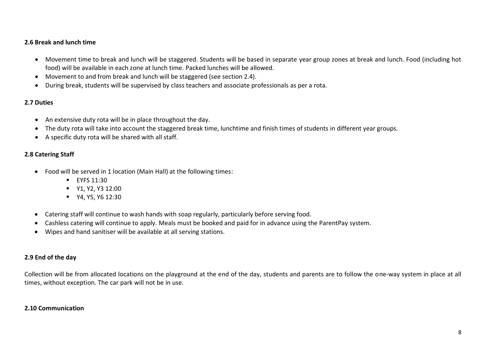## **2.6 Break and lunch time**

- Movement time to break and lunch will be staggered. Students will be based in separate year group zones at break and lunch. Food (including hot food) will be available in each zone at lunch time. Packed lunches will be allowed.
- Movement to and from break and lunch will be staggered (see section 2.4).
- During break, students will be supervised by class teachers and associate professionals as per a rota.

## **2.7 Duties**

- An extensive duty rota will be in place throughout the day.
- The duty rota will take into account the staggered break time, lunchtime and finish times of students in different year groups.
- A specific duty rota will be shared with all staff.

## **2.8 Catering Staff**

- Food will be served in 1 location (Main Hall) at the following times:
	- $\blacksquare$  EYFS 11:30
	- **•** Y1, Y2, Y3 12:00
	- **WE** Y4, Y5, Y6 12:30
- Catering staff will continue to wash hands with soap regularly, particularly before serving food.
- Cashless catering will continue to apply. Meals must be booked and paid for in advance using the ParentPay system.
- Wipes and hand sanitiser will be available at all serving stations.

## **2.9 End of the day**

Collection will be from allocated locations on the playground at the end of the day, students and parents are to follow the one-way system in place at all times, without exception. The car park will not be in use.

#### **2.10 Communication**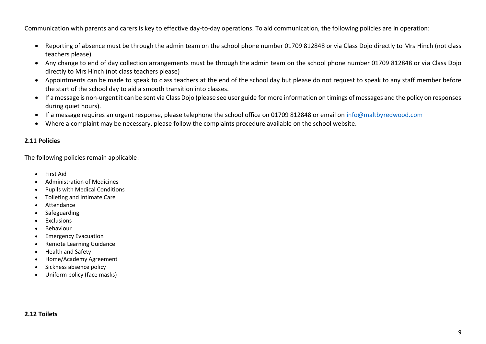Communication with parents and carers is key to effective day-to-day operations. To aid communication, the following policies are in operation:

- Reporting of absence must be through the admin team on the school phone number 01709 812848 or via Class Dojo directly to Mrs Hinch (not class teachers please)
- Any change to end of day collection arrangements must be through the admin team on the school phone number 01709 812848 or via Class Dojo directly to Mrs Hinch (not class teachers please)
- Appointments can be made to speak to class teachers at the end of the school day but please do not request to speak to any staff member before the start of the school day to aid a smooth transition into classes.
- If a message is non-urgent it can be sent via Class Dojo (please see user guide for more information on timings of messages and the policy on responses during quiet hours).
- If a message requires an urgent response, please telephone the school office on 01709 812848 or email on [info@maltbyredwood.com](mailto:info@maltbyredwood.com)
- Where a complaint may be necessary, please follow the complaints procedure available on the school website.

# **2.11 Policies**

The following policies remain applicable:

- First Aid
- Administration of Medicines
- Pupils with Medical Conditions
- Toileting and Intimate Care
- Attendance
- Safeguarding
- Exclusions
- Behaviour
- **•** Emergency Evacuation
- Remote Learning Guidance
- Health and Safety
- Home/Academy Agreement
- Sickness absence policy
- Uniform policy (face masks)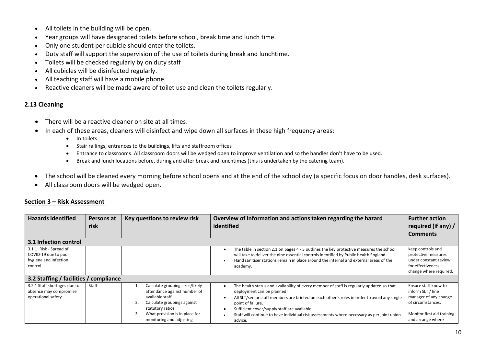- All toilets in the building will be open.
- Year groups will have designated toilets before school, break time and lunch time.
- Only one student per cubicle should enter the toilets.
- Duty staff will support the supervision of the use of toilets during break and lunchtime.
- Toilets will be checked regularly by on duty staff
- All cubicles will be disinfected regularly.
- All teaching staff will have a mobile phone.
- Reactive cleaners will be made aware of toilet use and clean the toilets regularly.

#### **2.13 Cleaning**

- There will be a reactive cleaner on site at all times.
- In each of these areas, cleaners will disinfect and wipe down all surfaces in these high frequency areas:
	- In toilets
	- Stair railings, entrances to the buildings, lifts and staffroom offices
	- Entrance to classrooms. All classroom doors will be wedged open to improve ventilation and so the handles don't have to be used.
	- Break and lunch locations before, during and after break and lunchtimes (this is undertaken by the catering team).
- The school will be cleaned every morning before school opens and at the end of the school day (a specific focus on door handles, desk surfaces).
- All classroom doors will be wedged open.

## **Section 3 – Risk Assessment**

| <b>Hazards identified</b>                                                                                              | Persons at<br>risk | Key questions to review risk                                                                                                                                                                              | Overview of information and actions taken regarding the hazard<br>identified                                                                                                                                                                                                                                                                                                                        | <b>Further action</b><br>required (if any) /<br><b>Comments</b>                                                                            |
|------------------------------------------------------------------------------------------------------------------------|--------------------|-----------------------------------------------------------------------------------------------------------------------------------------------------------------------------------------------------------|-----------------------------------------------------------------------------------------------------------------------------------------------------------------------------------------------------------------------------------------------------------------------------------------------------------------------------------------------------------------------------------------------------|--------------------------------------------------------------------------------------------------------------------------------------------|
| 3.1 Infection control                                                                                                  |                    |                                                                                                                                                                                                           |                                                                                                                                                                                                                                                                                                                                                                                                     |                                                                                                                                            |
| 3.1.1 Risk - Spread of<br>COVID-19 due to poor<br>hygiene and infection<br>control                                     |                    |                                                                                                                                                                                                           | The table in section 2.1 on pages 4 - 5 outlines the key protective measures the school<br>will take to deliver the nine essential controls identified by Public Health England.<br>Hand sanitiser stations remain in place around the internal and external areas of the<br>academy.                                                                                                               | keep controls and<br>protective measures<br>under constant review<br>for effectiveness $-$<br>change where required.                       |
| 3.2 Staffing / facilities / compliance<br>3.2.1 Staff shortages due to<br>absence may compromise<br>operational safety | Staff              | Calculate grouping sizes/likely<br>attendance against number of<br>available staff<br>Calculate groupings against<br>statutory ratios<br>What provision is in place for<br>3.<br>monitoring and adjusting | The health status and availability of every member of staff is regularly updated so that<br>deployment can be planned.<br>All SLT/senior staff members are briefed on each other's roles in order to avoid any single<br>point of failure.<br>Sufficient cover/supply staff are available.<br>Staff will continue to have individual risk assessments where necessary as per joint union<br>advice. | Ensure staff know to<br>inform SLT / line<br>manager of any change<br>of circumstances.<br>Monitor first aid training<br>and arrange where |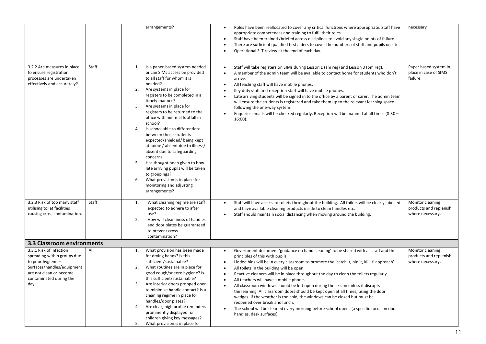|                                                                                                                                                                         |       | arrangements?                                                                                                                                                                                                                                                                                                                                                                                                                                                                                                                                                                                                                                                                                 | Roles have been reallocated to cover any critical functions where appropriate. Staff have<br>$\bullet$<br>appropriate competences and training to fulfil their roles.<br>Staff have been trained /briefed across disciplines to avoid any single points of failure.<br>$\bullet$<br>There are sufficient qualified first aiders to cover the numbers of staff and pupils on site.<br>Operational SLT review at the end of each day.<br>٠                                                                                                                                                                                                                                                                                                                                                                                                                                          | necessary                                                      |
|-------------------------------------------------------------------------------------------------------------------------------------------------------------------------|-------|-----------------------------------------------------------------------------------------------------------------------------------------------------------------------------------------------------------------------------------------------------------------------------------------------------------------------------------------------------------------------------------------------------------------------------------------------------------------------------------------------------------------------------------------------------------------------------------------------------------------------------------------------------------------------------------------------|-----------------------------------------------------------------------------------------------------------------------------------------------------------------------------------------------------------------------------------------------------------------------------------------------------------------------------------------------------------------------------------------------------------------------------------------------------------------------------------------------------------------------------------------------------------------------------------------------------------------------------------------------------------------------------------------------------------------------------------------------------------------------------------------------------------------------------------------------------------------------------------|----------------------------------------------------------------|
| 3.2.2 Are measures in place<br>to ensure registration<br>processes are undertaken<br>effectively and accurately?                                                        | Staff | Is a paper-based system needed<br>1.<br>or can SIMs access be provided<br>to all staff for whom it is<br>needed?<br>2.<br>Are systems in place for<br>registers to be completed in a<br>timely manner?<br>3.<br>Are systems in place for<br>registers to be returned to the<br>office with minimal footfall in<br>school?<br>Is school able to differentiate<br>4.<br>between those students<br>expected/shielded/being kept<br>at home / absent due to illness/<br>absent due to safeguarding<br>concerns<br>Has thought been given to how<br>5.<br>late arriving pupils will be taken<br>to groupings?<br>What provision is in place for<br>6.<br>monitoring and adjusting<br>arrangements? | Staff will take registers on SIMs during Lesson 1 (am reg) and Lesson 3 (pm reg).<br>$\bullet$<br>A member of the admin team will be available to contact home for students who don't<br>$\bullet$<br>arrive.<br>All teaching staff will have mobile phones.<br>٠<br>Key duty staff and reception staff will have mobile phones.<br>٠<br>Late arriving students will be signed in to the office by a parent or carer. The admin team<br>$\bullet$<br>will ensure the students is registered and take them up to the relevant learning space<br>following the one-way system.<br>Enquiries emails will be checked regularly. Reception will be manned at all times (8:30 -<br>16:00).                                                                                                                                                                                              | Paper based system in<br>place in case of SIMS<br>failure.     |
| 3.2.3 Risk of too many staff<br>utilising toilet facilities<br>causing cross contamination.                                                                             | Staff | 1.<br>What cleaning regime are staff<br>expected to adhere to after<br>use?<br>2.<br>How will cleanliness of handles<br>and door plates be guaranteed<br>to prevent cross<br>contamination?                                                                                                                                                                                                                                                                                                                                                                                                                                                                                                   | Staff will have access to toilets throughout the building. All toilets will be clearly labelled<br>$\bullet$<br>and have available cleaning products inside to clean handles etc.<br>Staff should maintain social distancing when moving around the building.<br>$\bullet$                                                                                                                                                                                                                                                                                                                                                                                                                                                                                                                                                                                                        | Monitor cleaning<br>products and replenish<br>where necessary. |
| 3.3 Classroom environments                                                                                                                                              |       |                                                                                                                                                                                                                                                                                                                                                                                                                                                                                                                                                                                                                                                                                               |                                                                                                                                                                                                                                                                                                                                                                                                                                                                                                                                                                                                                                                                                                                                                                                                                                                                                   |                                                                |
| 3.3.1 Risk of infection<br>spreading within groups due<br>to poor hygiene -<br>Surfaces/handles/equipment<br>are not clean or become<br>contaminated during the<br>day. | All   | What provision has been made<br>1.<br>for drying hands? Is this<br>sufficient/sustainable?<br>What routines are in place for<br>2.<br>good cough/sneeze hygiene? Is<br>this sufficient/sustainable?<br>Are interior doors propped open<br>3.<br>to minimise handle contact? Is a<br>cleaning regime in place for<br>handles/door plates?<br>Are clear, high profile reminders<br>4.<br>prominently displayed for<br>children giving key messages?<br>What provision is in place for<br>5.                                                                                                                                                                                                     | Government document 'guidance on hand cleaning' to be shared with all staff and the<br>$\bullet$<br>principles of this with pupils.<br>Lidded bins will be in every classroom to promote the 'catch it, bin it, kill it' approach'.<br>$\bullet$<br>All toilets in the building will be open.<br>٠<br>Reactive cleaners will be in place throughout the day to clean the toilets regularly.<br>$\bullet$<br>All teachers will have a mobile phone.<br>$\bullet$<br>All classroom windows should be left open during the lesson unless it disrupts<br>the learning. All classroom doors should be kept open at all times, using the door<br>wedges. If the weather is too cold, the windows can be closed but must be<br>reopened over break and lunch.<br>The school will be cleaned every morning before school opens (a specific focus on door<br>٠<br>handles, desk surfaces). | Monitor cleaning<br>products and replenish<br>where necessary. |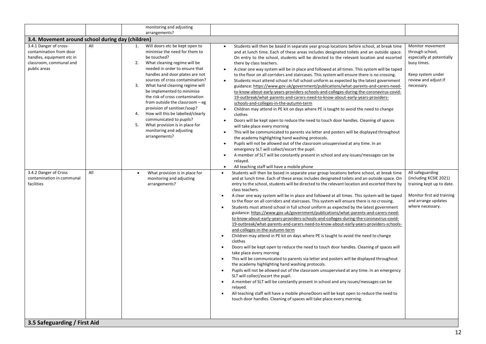|                                                                                                                                                                                                                                                    |            | monitoring and adjusting<br>arrangements?                                                                                                                                                                                                                                                                                                                                                                                                                                                                                                                                                                                                                             |                                                                                                                                                                                                                                                                                                                                                                                                                                                                                                                                                                                                                                                                                                                                                                                                                                                                                                                                                                                                                                                                                                                                                                                                                                                                                                                                                                                                                                                                                                                                                                                                                                                                                                                                                                                                                                                                                                                                                                                                                                                                                                                                                                                                                                                                                                                                                                                                                                                                                                                                                                                                                                                                                                                                                                                                                                                                                                                                                                                                                                                                                                                                                                                                                                                                                                                                                                                                                                                                           |                                                                                                                                                                                                                                                                                                |  |  |  |
|----------------------------------------------------------------------------------------------------------------------------------------------------------------------------------------------------------------------------------------------------|------------|-----------------------------------------------------------------------------------------------------------------------------------------------------------------------------------------------------------------------------------------------------------------------------------------------------------------------------------------------------------------------------------------------------------------------------------------------------------------------------------------------------------------------------------------------------------------------------------------------------------------------------------------------------------------------|---------------------------------------------------------------------------------------------------------------------------------------------------------------------------------------------------------------------------------------------------------------------------------------------------------------------------------------------------------------------------------------------------------------------------------------------------------------------------------------------------------------------------------------------------------------------------------------------------------------------------------------------------------------------------------------------------------------------------------------------------------------------------------------------------------------------------------------------------------------------------------------------------------------------------------------------------------------------------------------------------------------------------------------------------------------------------------------------------------------------------------------------------------------------------------------------------------------------------------------------------------------------------------------------------------------------------------------------------------------------------------------------------------------------------------------------------------------------------------------------------------------------------------------------------------------------------------------------------------------------------------------------------------------------------------------------------------------------------------------------------------------------------------------------------------------------------------------------------------------------------------------------------------------------------------------------------------------------------------------------------------------------------------------------------------------------------------------------------------------------------------------------------------------------------------------------------------------------------------------------------------------------------------------------------------------------------------------------------------------------------------------------------------------------------------------------------------------------------------------------------------------------------------------------------------------------------------------------------------------------------------------------------------------------------------------------------------------------------------------------------------------------------------------------------------------------------------------------------------------------------------------------------------------------------------------------------------------------------------------------------------------------------------------------------------------------------------------------------------------------------------------------------------------------------------------------------------------------------------------------------------------------------------------------------------------------------------------------------------------------------------------------------------------------------------------------------------------------------|------------------------------------------------------------------------------------------------------------------------------------------------------------------------------------------------------------------------------------------------------------------------------------------------|--|--|--|
|                                                                                                                                                                                                                                                    |            |                                                                                                                                                                                                                                                                                                                                                                                                                                                                                                                                                                                                                                                                       |                                                                                                                                                                                                                                                                                                                                                                                                                                                                                                                                                                                                                                                                                                                                                                                                                                                                                                                                                                                                                                                                                                                                                                                                                                                                                                                                                                                                                                                                                                                                                                                                                                                                                                                                                                                                                                                                                                                                                                                                                                                                                                                                                                                                                                                                                                                                                                                                                                                                                                                                                                                                                                                                                                                                                                                                                                                                                                                                                                                                                                                                                                                                                                                                                                                                                                                                                                                                                                                                           |                                                                                                                                                                                                                                                                                                |  |  |  |
| 3.4. Movement around school during day (children)<br>3.4.1 Danger of cross-<br>contamination from door<br>handles, equipment etc in<br>classroom, communal and<br>public areas<br>3.4.2 Danger of Cross<br>contamination in communal<br>facilities | All<br>All | Will doors etc be kept open to<br>1.<br>minimise the need for them to<br>be touched?<br>What cleaning regime will be<br>2.<br>needed in order to ensure that<br>handles and door plates are not<br>sources of cross contamination?<br>What hand cleaning regime will<br>3.<br>be implemented to minimise<br>the risk of cross contamination<br>from outside the classroom - eg<br>provision of sanitiser/soap?<br>How will this be labelled/clearly<br>4.<br>communicated to pupils?<br>What provision is in place for<br>5.<br>monitoring and adjusting<br>arrangements?<br>What provision is in place for<br>$\bullet$<br>monitoring and adjusting<br>arrangements? | Students will then be based in separate year group locations before school, at break time<br>$\bullet$<br>and at lunch time. Each of these areas includes designated toilets and an outside space.<br>On entry to the school, students will be directed to the relevant location and escorted<br>there by class teachers.<br>A clear one way system will be in place and followed at all times. This system will be taped<br>$\bullet$<br>to the floor on all corridors and staircases. This system will ensure there is no crossing.<br>Students must attend school in full school uniform as expected by the latest government<br>$\bullet$<br>guidance: https://www.gov.uk/government/publications/what-parents-and-carers-need-<br>to-know-about-early-years-providers-schools-and-colleges-during-the-coronavirus-covid-<br>19-outbreak/what-parents-and-carers-need-to-know-about-early-years-providers-<br>schools-and-colleges-in-the-autumn-term<br>Children may attend in PE kit on days where PE is taught to avoid the need to change<br>clothes<br>Doors will be kept open to reduce the need to touch door handles. Cleaning of spaces<br>will take place every morning<br>This will be communicated to parents via letter and posters will be displayed throughout<br>$\bullet$<br>the academy highlighting hand washing protocols.<br>Pupils will not be allowed out of the classroom unsupervised at any time. In an<br>$\bullet$<br>emergency SLT will collect/escort the pupil.<br>A member of SLT will be constantly present in school and any issues/messages can be<br>$\bullet$<br>relayed.<br>All teaching staff will have a mobile phone<br>$\bullet$<br>Students will then be based in separate year group locations before school, at break time<br>$\bullet$<br>and at lunch time. Each of these areas includes designated toilets and an outside space. On<br>entry to the school, students will be directed to the relevant location and escorted there by<br>class teachers.<br>A clear one way system will be in place and followed at all times. This system will be taped<br>$\bullet$<br>to the floor on all corridors and staircases. This system will ensure there is no crossing.<br>Students must attend school in full school uniform as expected by the latest government<br>$\bullet$<br>guidance: https://www.gov.uk/government/publications/what-parents-and-carers-need-<br>to-know-about-early-years-providers-schools-and-colleges-during-the-coronavirus-covid-<br>19-outbreak/what-parents-and-carers-need-to-know-about-early-years-providers-schools-<br>and-colleges-in-the-autumn-term<br>Children may attend in PE kit on days where PE is taught to avoid the need to change<br>$\bullet$<br>clothes<br>Doors will be kept open to reduce the need to touch door handles. Cleaning of spaces will<br>$\bullet$<br>take place every morning<br>This will be communicated to parents via letter and posters will be displayed throughout<br>the academy highlighting hand washing protocols.<br>Pupils will not be allowed out of the classroom unsupervised at any time. In an emergency<br>SLT will collect/escort the pupil.<br>A member of SLT will be constantly present in school and any issues/messages can be<br>relayed.<br>All teaching staff will have a mobile phoneDoors will be kept open to reduce the need to<br>$\bullet$<br>touch door handles. Cleaning of spaces will take place every morning. | Monitor movement<br>through school,<br>especially at potentially<br>busy times.<br>Keep system under<br>review and adjust if<br>necessary.<br>All safeguarding<br>(including KCSIE 2021)<br>training kept up to date.<br>Monitor first aid training<br>and arrange updates<br>where necessary. |  |  |  |
|                                                                                                                                                                                                                                                    |            |                                                                                                                                                                                                                                                                                                                                                                                                                                                                                                                                                                                                                                                                       |                                                                                                                                                                                                                                                                                                                                                                                                                                                                                                                                                                                                                                                                                                                                                                                                                                                                                                                                                                                                                                                                                                                                                                                                                                                                                                                                                                                                                                                                                                                                                                                                                                                                                                                                                                                                                                                                                                                                                                                                                                                                                                                                                                                                                                                                                                                                                                                                                                                                                                                                                                                                                                                                                                                                                                                                                                                                                                                                                                                                                                                                                                                                                                                                                                                                                                                                                                                                                                                                           |                                                                                                                                                                                                                                                                                                |  |  |  |
| 3.5 Safeguarding / First Aid                                                                                                                                                                                                                       |            |                                                                                                                                                                                                                                                                                                                                                                                                                                                                                                                                                                                                                                                                       |                                                                                                                                                                                                                                                                                                                                                                                                                                                                                                                                                                                                                                                                                                                                                                                                                                                                                                                                                                                                                                                                                                                                                                                                                                                                                                                                                                                                                                                                                                                                                                                                                                                                                                                                                                                                                                                                                                                                                                                                                                                                                                                                                                                                                                                                                                                                                                                                                                                                                                                                                                                                                                                                                                                                                                                                                                                                                                                                                                                                                                                                                                                                                                                                                                                                                                                                                                                                                                                                           |                                                                                                                                                                                                                                                                                                |  |  |  |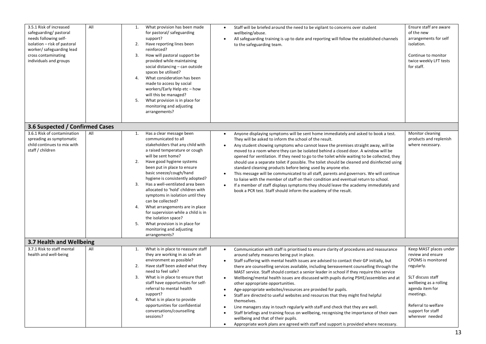| 3.5.1 Risk of increased<br>safeguarding/pastoral<br>needs following self-<br>isolation - risk of pastoral<br>worker/ safeguarding lead<br>cross contaminating<br>individuals and groups | All | 1.<br>2.<br>3.<br>4.<br>5. | What provision has been made<br>for pastoral/safeguarding<br>support?<br>Have reporting lines been<br>reinforced?<br>How will pastoral support be<br>provided while maintaining<br>social distancing - can outside<br>spaces be utilised?<br>What consideration has been<br>made to access by social<br>workers/Early Help etc - how<br>will this be managed?<br>What provision is in place for<br>monitoring and adjusting<br>arrangements?                                                                                                                                           | $\bullet$<br>$\bullet$                                                                               | Staff will be briefed around the need to be vigilant to concerns over student<br>wellbeing/abuse.<br>All safeguarding training is up to date and reporting will follow the established channels<br>to the safeguarding team.                                                                                                                                                                                                                                                                                                                                                                                                                                                                                                                                                                                                                                                                                                                                                                                                            | Ensure staff are aware<br>of the new<br>arrangements for self<br>isolation.<br>Continue to monitor<br>twice weekly LFT tests<br>for staff.                                                                                    |
|-----------------------------------------------------------------------------------------------------------------------------------------------------------------------------------------|-----|----------------------------|----------------------------------------------------------------------------------------------------------------------------------------------------------------------------------------------------------------------------------------------------------------------------------------------------------------------------------------------------------------------------------------------------------------------------------------------------------------------------------------------------------------------------------------------------------------------------------------|------------------------------------------------------------------------------------------------------|-----------------------------------------------------------------------------------------------------------------------------------------------------------------------------------------------------------------------------------------------------------------------------------------------------------------------------------------------------------------------------------------------------------------------------------------------------------------------------------------------------------------------------------------------------------------------------------------------------------------------------------------------------------------------------------------------------------------------------------------------------------------------------------------------------------------------------------------------------------------------------------------------------------------------------------------------------------------------------------------------------------------------------------------|-------------------------------------------------------------------------------------------------------------------------------------------------------------------------------------------------------------------------------|
| 3.6 Suspected / Confirmed Cases                                                                                                                                                         |     |                            |                                                                                                                                                                                                                                                                                                                                                                                                                                                                                                                                                                                        |                                                                                                      |                                                                                                                                                                                                                                                                                                                                                                                                                                                                                                                                                                                                                                                                                                                                                                                                                                                                                                                                                                                                                                         |                                                                                                                                                                                                                               |
| 3.6.1 Risk of contamination<br>spreading as symptomatic<br>child continues to mix with<br>staff / children                                                                              | All | 1.<br>2.<br>3.<br>4.<br>5. | Has a clear message been<br>communicated to all<br>stakeholders that any child with<br>a raised temperature or cough<br>will be sent home?<br>Have good hygiene systems<br>been put in place to ensure<br>basic sneeze/cough/hand<br>hygiene is consistently adopted?<br>Has a well-ventilated area been<br>allocated to 'hold' children with<br>symptoms in isolation until they<br>can be collected?<br>What arrangements are in place<br>for supervision while a child is in<br>the isolation space?<br>What provision is in place for<br>monitoring and adjusting<br>arrangements? | $\bullet$<br>$\bullet$<br>$\bullet$<br>$\bullet$                                                     | Anyone displaying symptoms will be sent home immediately and asked to book a test.<br>They will be asked to inform the school of the result.<br>Any student showing symptoms who cannot leave the premises straight away, will be<br>moved to a room where they can be isolated behind a closed door. A window will be<br>opened for ventilation. If they need to go to the toilet while waiting to be collected, they<br>should use a separate toilet if possible. The toilet should be cleaned and disinfected using<br>standard cleaning products before being used by anyone else.<br>This message will be communicated to all staff, parents and governors. We will continue<br>to liaise with the member of staff on their condition and eventual return to school.<br>If a member of staff displays symptoms they should leave the academy immediately and<br>book a PCR test. Staff should inform the academy of the result.                                                                                                    | Monitor cleaning<br>products and replenish<br>where necessary.                                                                                                                                                                |
| 3.7 Health and Wellbeing                                                                                                                                                                |     |                            |                                                                                                                                                                                                                                                                                                                                                                                                                                                                                                                                                                                        |                                                                                                      |                                                                                                                                                                                                                                                                                                                                                                                                                                                                                                                                                                                                                                                                                                                                                                                                                                                                                                                                                                                                                                         |                                                                                                                                                                                                                               |
| 3.7.1 Risk to staff mental<br>health and well-being                                                                                                                                     | All | 1.<br>2.<br>3.<br>4.       | What is in place to reassure staff<br>they are working in as safe an<br>environment as possible?<br>Have staff been asked what they<br>need to feel safe?<br>What is in place to ensure that<br>staff have opportunities for self-<br>referral to mental health<br>support?<br>What is in place to provide<br>opportunities for confidential<br>conversations/counselling<br>sessions?                                                                                                                                                                                                 | $\bullet$<br>$\bullet$<br>$\bullet$<br>$\bullet$<br>$\bullet$<br>$\bullet$<br>$\bullet$<br>$\bullet$ | Communication with staff is prioritised to ensure clarity of procedures and reassurance<br>around safety measures being put in place.<br>Staff suffering with mental health issues are advised to contact their GP initially, but<br>there are counselling services available, including bereavement counselling through the<br>MAST service. Staff should contact a senior leader in school if they require this service<br>Wellbeing/mental health issues are discussed with pupils during PSHE/assemblies and at<br>other appropriate opportunities.<br>Age-appropriate websites/resources are provided for pupils.<br>Staff are directed to useful websites and resources that they might find helpful<br>themselves.<br>Line managers stay in touch regularly with staff and check that they are well.<br>Staff briefings and training focus on wellbeing, recognising the importance of their own<br>wellbeing and that of their pupils.<br>Appropriate work plans are agreed with staff and support is provided where necessary. | Keep MAST places under<br>review and ensure<br>CPOMS is monitored<br>regularly.<br>SLT discuss staff<br>wellbeing as a rolling<br>agenda item for<br>meetings.<br>Referral to welfare<br>support for staff<br>wherever needed |